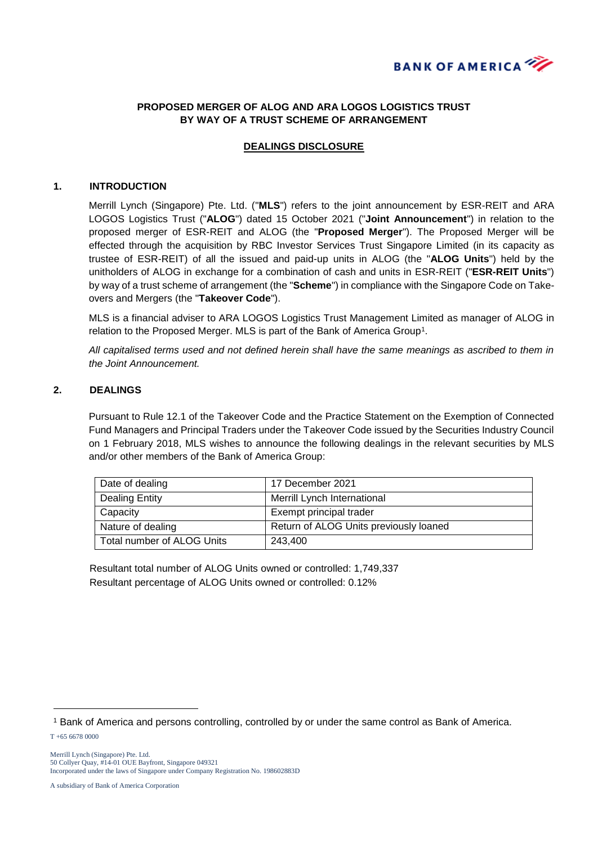

## **PROPOSED MERGER OF ALOG AND ARA LOGOS LOGISTICS TRUST BY WAY OF A TRUST SCHEME OF ARRANGEMENT**

## **DEALINGS DISCLOSURE**

#### **1. INTRODUCTION**

Merrill Lynch (Singapore) Pte. Ltd. ("**MLS**") refers to the joint announcement by ESR-REIT and ARA LOGOS Logistics Trust ("**ALOG**") dated 15 October 2021 ("**Joint Announcement**") in relation to the proposed merger of ESR-REIT and ALOG (the "**Proposed Merger**"). The Proposed Merger will be effected through the acquisition by RBC Investor Services Trust Singapore Limited (in its capacity as trustee of ESR-REIT) of all the issued and paid-up units in ALOG (the "**ALOG Units**") held by the unitholders of ALOG in exchange for a combination of cash and units in ESR-REIT ("**ESR-REIT Units**") by way of a trust scheme of arrangement (the "**Scheme**") in compliance with the Singapore Code on Takeovers and Mergers (the "**Takeover Code**").

MLS is a financial adviser to ARA LOGOS Logistics Trust Management Limited as manager of ALOG in relation to the Proposed Merger. MLS is part of the Bank of America Group<sup>1</sup>.

*All capitalised terms used and not defined herein shall have the same meanings as ascribed to them in the Joint Announcement.*

### **2. DEALINGS**

Pursuant to Rule 12.1 of the Takeover Code and the Practice Statement on the Exemption of Connected Fund Managers and Principal Traders under the Takeover Code issued by the Securities Industry Council on 1 February 2018, MLS wishes to announce the following dealings in the relevant securities by MLS and/or other members of the Bank of America Group:

| Date of dealing            | 17 December 2021                       |
|----------------------------|----------------------------------------|
| <b>Dealing Entity</b>      | Merrill Lynch International            |
| Capacity                   | Exempt principal trader                |
| Nature of dealing          | Return of ALOG Units previously loaned |
| Total number of ALOG Units | 243.400                                |

Resultant total number of ALOG Units owned or controlled: 1,749,337 Resultant percentage of ALOG Units owned or controlled: 0.12%

-

<sup>1</sup> Bank of America and persons controlling, controlled by or under the same control as Bank of America.

T +65 6678 0000